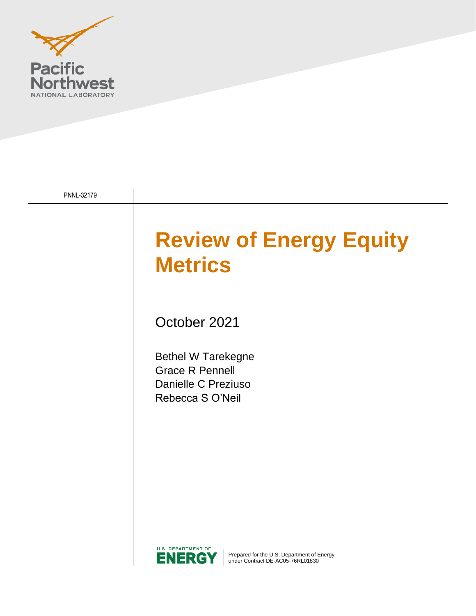

| PNNL-32179 |                                                                                                                     |
|------------|---------------------------------------------------------------------------------------------------------------------|
|            | <b>Review of Energy Equity</b><br><b>Metrics</b>                                                                    |
|            | October 2021                                                                                                        |
|            | <b>Bethel W Tarekegne</b><br><b>Grace R Pennell</b><br>Danielle C Preziuso<br>Rebecca S O'Neil                      |
|            |                                                                                                                     |
|            |                                                                                                                     |
|            | <b>U.S. DEPARTMENT OF</b><br>Prepared for the U.S. Department of Energy<br>NERG<br>under Contract DE-AC05-76RL01830 |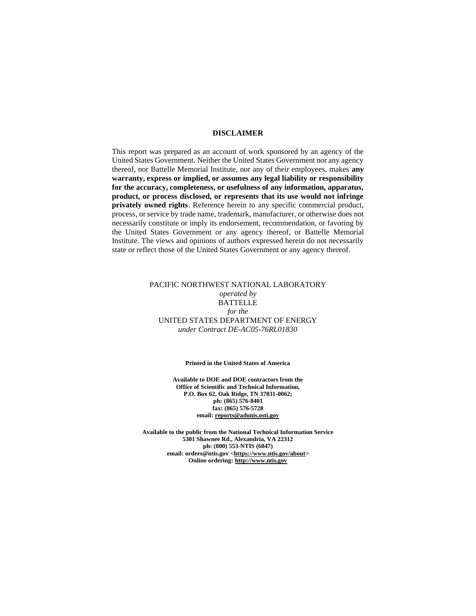#### **DISCLAIMER**

This report was prepared as an account of work sponsored by an agency of the United States Government. Neither the United States Government nor any agency thereof, nor Battelle Memorial Institute, nor any of their employees, makes **any warranty, express or implied, or assumes any legal liability or responsibility for the accuracy, completeness, or usefulness of any information, apparatus, product, or process disclosed, or represents that its use would not infringe privately owned rights**. Reference herein to any specific commercial product, process, or service by trade name, trademark, manufacturer, or otherwise does not necessarily constitute or imply its endorsement, recommendation, or favoring by the United States Government or any agency thereof, or Battelle Memorial Institute. The views and opinions of authors expressed herein do not necessarily state or reflect those of the United States Government or any agency thereof.

#### PACIFIC NORTHWEST NATIONAL LABORATORY *operated by* BATTELLE *for the* UNITED STATES DEPARTMENT OF ENERGY *under Contract DE-AC05-76RL01830*

#### **Printed in the United States of America**

**Available to DOE and DOE contractors from the Office of Scientific and Technical Information, P.O. Box 62, Oak Ridge, TN 37831-0062; ph: (865) 576-8401 fax: (865) 576-5728 email[: reports@adonis.osti.gov](mailto:reports@adonis.osti.gov)** 

**Available to the public from the National Technical Information Service 5301 Shawnee Rd., Alexandria, VA 22312 ph: (800) 553-NTIS (6847) email: orders@ntis.gov [<https://www.ntis.gov/about>](https://www.ntis.gov/about) Online ordering[: http://www.ntis.gov](http://www.ntis.gov/)**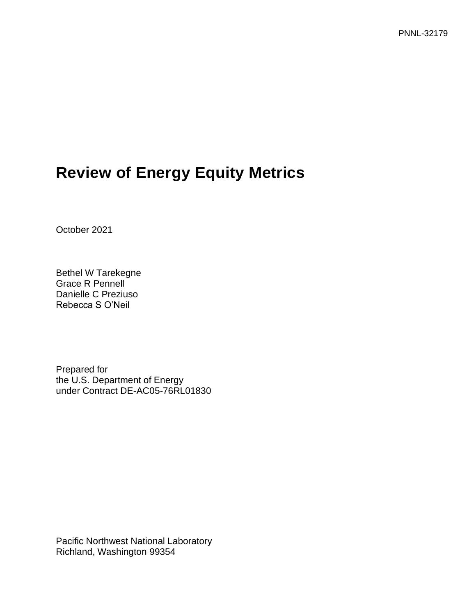# **Review of Energy Equity Metrics**

October 2021

Bethel W Tarekegne Grace R Pennell Danielle C Preziuso Rebecca S O'Neil

Prepared for the U.S. Department of Energy under Contract DE-AC05-76RL01830

Pacific Northwest National Laboratory Richland, Washington 99354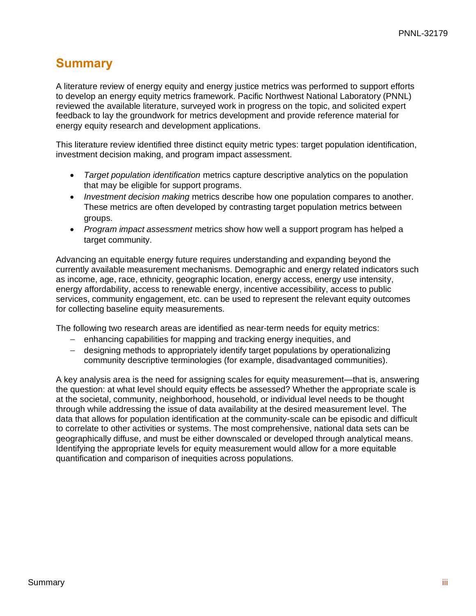### <span id="page-3-0"></span>**Summary**

A literature review of energy equity and energy justice metrics was performed to support efforts to develop an energy equity metrics framework. Pacific Northwest National Laboratory (PNNL) reviewed the available literature, surveyed work in progress on the topic, and solicited expert feedback to lay the groundwork for metrics development and provide reference material for energy equity research and development applications.

This literature review identified three distinct equity metric types: target population identification, investment decision making, and program impact assessment.

- *Target population identification* metrics capture descriptive analytics on the population that may be eligible for support programs.
- *Investment decision making* metrics describe how one population compares to another. These metrics are often developed by contrasting target population metrics between groups.
- *Program impact assessment* metrics show how well a support program has helped a target community.

Advancing an equitable energy future requires understanding and expanding beyond the currently available measurement mechanisms. Demographic and energy related indicators such as income, age, race, ethnicity, geographic location, energy access, energy use intensity, energy affordability, access to renewable energy, incentive accessibility, access to public services, community engagement, etc. can be used to represent the relevant equity outcomes for collecting baseline equity measurements.

The following two research areas are identified as near-term needs for equity metrics:

- − enhancing capabilities for mapping and tracking energy inequities, and
- − designing methods to appropriately identify target populations by operationalizing community descriptive terminologies (for example, disadvantaged communities).

A key analysis area is the need for assigning scales for equity measurement—that is, answering the question: at what level should equity effects be assessed? Whether the appropriate scale is at the societal, community, neighborhood, household, or individual level needs to be thought through while addressing the issue of data availability at the desired measurement level. The data that allows for population identification at the community-scale can be episodic and difficult to correlate to other activities or systems. The most comprehensive, national data sets can be geographically diffuse, and must be either downscaled or developed through analytical means. Identifying the appropriate levels for equity measurement would allow for a more equitable quantification and comparison of inequities across populations.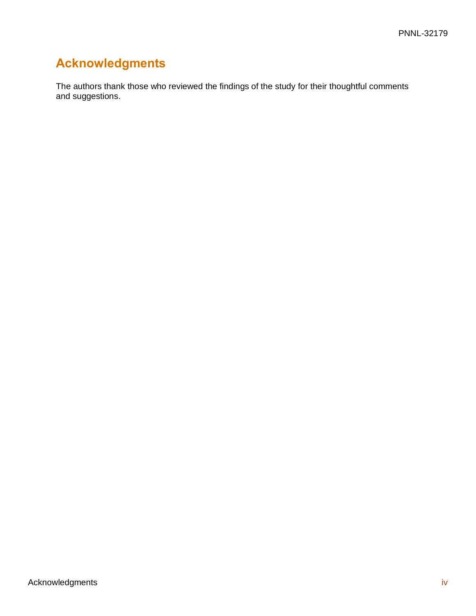## <span id="page-4-0"></span>**Acknowledgments**

The authors thank those who reviewed the findings of the study for their thoughtful comments and suggestions.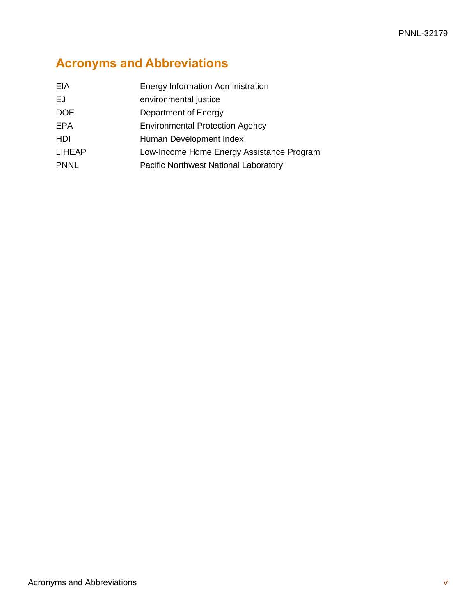# <span id="page-5-0"></span>**Acronyms and Abbreviations**

| EIA           | <b>Energy Information Administration</b>  |  |
|---------------|-------------------------------------------|--|
| EJ            | environmental justice                     |  |
| DOE           | Department of Energy                      |  |
| <b>EPA</b>    | <b>Environmental Protection Agency</b>    |  |
| HDI           | Human Development Index                   |  |
| <b>LIHEAP</b> | Low-Income Home Energy Assistance Program |  |
| <b>PNNL</b>   | Pacific Northwest National Laboratory     |  |
|               |                                           |  |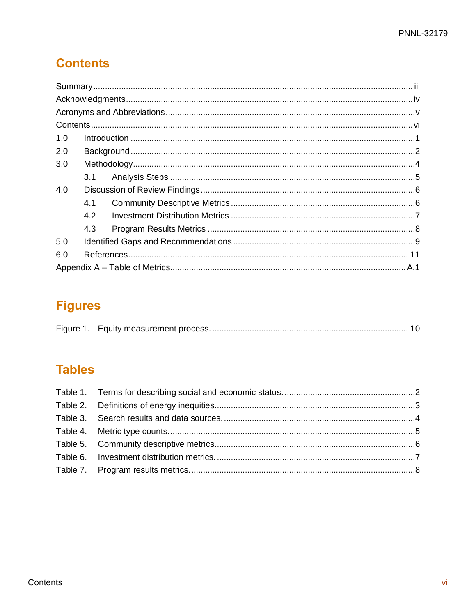# <span id="page-6-0"></span>**Contents**

| 1.0 |     |  |  |
|-----|-----|--|--|
| 2.0 |     |  |  |
| 3.0 |     |  |  |
|     |     |  |  |
| 4.0 |     |  |  |
|     | 4.1 |  |  |
|     | 4.2 |  |  |
|     | 4.3 |  |  |
| 5.0 |     |  |  |
| 6.0 |     |  |  |
|     |     |  |  |

# **Figures**

|--|--|--|

## **Tables**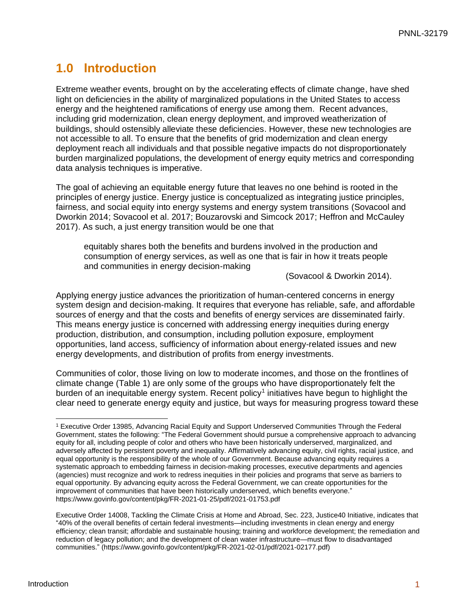### <span id="page-7-0"></span>**1.0 Introduction**

Extreme weather events, brought on by the accelerating effects of climate change, have shed light on deficiencies in the ability of marginalized populations in the United States to access energy and the heightened ramifications of energy use among them. Recent advances, including grid modernization, clean energy deployment, and improved weatherization of buildings, should ostensibly alleviate these deficiencies. However, these new technologies are not accessible to all. To ensure that the benefits of grid modernization and clean energy deployment reach all individuals and that possible negative impacts do not disproportionately burden marginalized populations, the development of energy equity metrics and corresponding data analysis techniques is imperative.

The goal of achieving an equitable energy future that leaves no one behind is rooted in the principles of energy justice. Energy justice is conceptualized as integrating justice principles, fairness, and social equity into energy systems and energy system transitions (Sovacool and Dworkin 2014; Sovacool et al. 2017; Bouzarovski and Simcock 2017; Heffron and McCauley 2017). As such, a just energy transition would be one that

equitably shares both the benefits and burdens involved in the production and consumption of energy services, as well as one that is fair in how it treats people and communities in energy decision-making

(Sovacool & Dworkin 2014).

Applying energy justice advances the prioritization of human-centered concerns in energy system design and decision-making. It requires that everyone has reliable, safe, and affordable sources of energy and that the costs and benefits of energy services are disseminated fairly. This means energy justice is concerned with addressing energy inequities during energy production, distribution, and consumption, including pollution exposure, employment opportunities, land access, sufficiency of information about energy-related issues and new energy developments, and distribution of profits from energy investments.

Communities of color, those living on low to moderate incomes, and those on the frontlines of climate change [\(Table 1\)](#page-8-1) are only some of the groups who have disproportionately felt the burden of an inequitable energy system. Recent policy<sup>1</sup> initiatives have begun to highlight the clear need to generate energy equity and justice, but ways for measuring progress toward these

<sup>1</sup> Executive Order 13985, Advancing Racial Equity and Support Underserved Communities Through the Federal Government, states the following: "The Federal Government should pursue a comprehensive approach to advancing equity for all, including people of color and others who have been historically underserved, marginalized, and adversely affected by persistent poverty and inequality. Affirmatively advancing equity, civil rights, racial justice, and equal opportunity is the responsibility of the whole of our Government. Because advancing equity requires a systematic approach to embedding fairness in decision-making processes, executive departments and agencies (agencies) must recognize and work to redress inequities in their policies and programs that serve as barriers to equal opportunity. By advancing equity across the Federal Government, we can create opportunities for the improvement of communities that have been historically underserved, which benefits everyone." https://www.govinfo.gov/content/pkg/FR-2021-01-25/pdf/2021-01753.pdf

Executive Order 14008, Tackling the Climate Crisis at Home and Abroad, Sec. 223, Justice40 Initiative, indicates that "40% of the overall benefits of certain federal investments—including investments in clean energy and energy efficiency; clean transit; affordable and sustainable housing; training and workforce development; the remediation and reduction of legacy pollution; and the development of clean water infrastructure—must flow to disadvantaged communities." (https://www.govinfo.gov/content/pkg/FR-2021-02-01/pdf/2021-02177.pdf)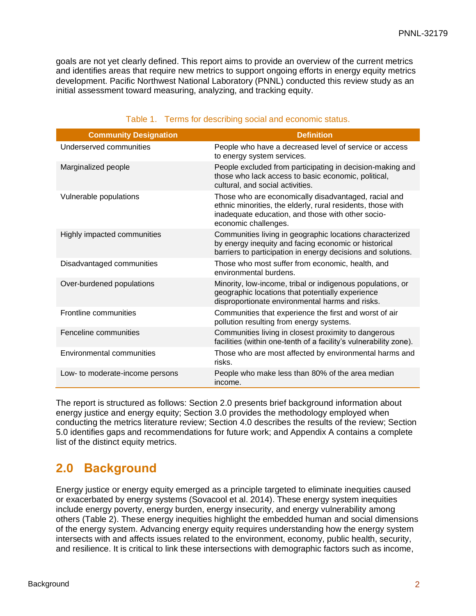goals are not yet clearly defined. This report aims to provide an overview of the current metrics and identifies areas that require new metrics to support ongoing efforts in energy equity metrics development. Pacific Northwest National Laboratory (PNNL) conducted this review study as an initial assessment toward measuring, analyzing, and tracking equity.

<span id="page-8-1"></span>

| <b>Community Designation</b>    | <b>Definition</b>                                                                                                                                                                                |
|---------------------------------|--------------------------------------------------------------------------------------------------------------------------------------------------------------------------------------------------|
| Underserved communities         | People who have a decreased level of service or access<br>to energy system services.                                                                                                             |
| Marginalized people             | People excluded from participating in decision-making and<br>those who lack access to basic economic, political,<br>cultural, and social activities.                                             |
| Vulnerable populations          | Those who are economically disadvantaged, racial and<br>ethnic minorities, the elderly, rural residents, those with<br>inadequate education, and those with other socio-<br>economic challenges. |
| Highly impacted communities     | Communities living in geographic locations characterized<br>by energy inequity and facing economic or historical<br>barriers to participation in energy decisions and solutions.                 |
| Disadvantaged communities       | Those who most suffer from economic, health, and<br>environmental burdens.                                                                                                                       |
| Over-burdened populations       | Minority, low-income, tribal or indigenous populations, or<br>geographic locations that potentially experience<br>disproportionate environmental harms and risks.                                |
| Frontline communities           | Communities that experience the first and worst of air<br>pollution resulting from energy systems.                                                                                               |
| Fenceline communities           | Communities living in closest proximity to dangerous<br>facilities (within one-tenth of a facility's vulnerability zone).                                                                        |
| Environmental communities       | Those who are most affected by environmental harms and<br>risks.                                                                                                                                 |
| Low- to moderate-income persons | People who make less than 80% of the area median<br>income.                                                                                                                                      |

#### Table 1. Terms for describing social and economic status.

The report is structured as follows: Section [2.0](#page-8-0) presents brief background information about energy justice and energy equity; Section [3.0](#page-10-0) provides the methodology employed when conducting the metrics literature review; Section [4.0](#page-12-0) describes the results of the review; Section [5.0](#page-15-0) identifies gaps and recommendations for future work; and [Appendix A](#page-19-0) contains a complete list of the distinct equity metrics.

### <span id="page-8-0"></span>**2.0 Background**

Energy justice or energy equity emerged as a principle targeted to eliminate inequities caused or exacerbated by energy systems (Sovacool et al. 2014). These energy system inequities include energy poverty, energy burden, energy insecurity, and energy vulnerability among others [\(Table 2\)](#page-9-0). These energy inequities highlight the embedded human and social dimensions of the energy system. Advancing energy equity requires understanding how the energy system intersects with and affects issues related to the environment, economy, public health, security, and resilience. It is critical to link these intersections with demographic factors such as income,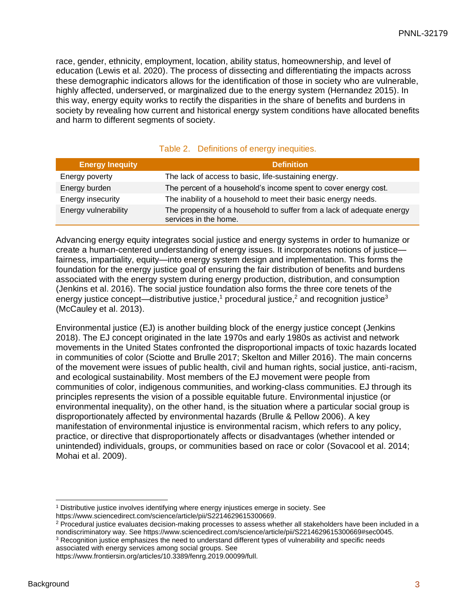race, gender, ethnicity, employment, location, ability status, homeownership, and level of education (Lewis et al. 2020). The process of dissecting and differentiating the impacts across these demographic indicators allows for the identification of those in society who are vulnerable, highly affected, underserved, or marginalized due to the energy system (Hernandez 2015). In this way, energy equity works to rectify the disparities in the share of benefits and burdens in society by revealing how current and historical energy system conditions have allocated benefits and harm to different segments of society.

<span id="page-9-0"></span>

| <b>Energy Inequity</b> | <b>Definition</b>                                                                               |
|------------------------|-------------------------------------------------------------------------------------------------|
| Energy poverty         | The lack of access to basic, life-sustaining energy.                                            |
| Energy burden          | The percent of a household's income spent to cover energy cost.                                 |
| Energy insecurity      | The inability of a household to meet their basic energy needs.                                  |
| Energy vulnerability   | The propensity of a household to suffer from a lack of adequate energy<br>services in the home. |

#### Table 2. Definitions of energy inequities.

Advancing energy equity integrates social justice and energy systems in order to humanize or create a human-centered understanding of energy issues. It incorporates notions of justice fairness, impartiality, equity—into energy system design and implementation. This forms the foundation for the energy justice goal of ensuring the fair distribution of benefits and burdens associated with the energy system during energy production, distribution, and consumption (Jenkins et al. 2016). The social justice foundation also forms the three core tenets of the energy justice concept—distributive justice,<sup>1</sup> procedural justice,<sup>2</sup> and recognition justice<sup>3</sup> (McCauley et al. 2013).

Environmental justice (EJ) is another building block of the energy justice concept (Jenkins 2018). The EJ concept originated in the late 1970s and early 1980s as activist and network movements in the United States confronted the disproportional impacts of toxic hazards located in communities of color (Sciotte and Brulle 2017; Skelton and Miller 2016). The main concerns of the movement were issues of public health, civil and human rights, social justice, anti-racism, and ecological sustainability. Most members of the EJ movement were people from communities of color, indigenous communities, and working-class communities. EJ through its principles represents the vision of a possible equitable future. Environmental injustice (or environmental inequality), on the other hand, is the situation where a particular social group is disproportionately affected by environmental hazards (Brulle & Pellow 2006). A key manifestation of environmental injustice is environmental racism, which refers to any policy, practice, or directive that disproportionately affects or disadvantages (whether intended or unintended) individuals, groups, or communities based on race or color (Sovacool et al. 2014; Mohai et al. 2009).

<sup>&</sup>lt;sup>1</sup> Distributive justice involves identifying where energy injustices emerge in society. See https://www.sciencedirect.com/science/article/pii/S2214629615300669.

<sup>&</sup>lt;sup>2</sup> Procedural justice evaluates decision-making processes to assess whether all stakeholders have been included in a nondiscriminatory way. See https://www.sciencedirect.com/science/article/pii/S2214629615300669#sec0045.

<sup>&</sup>lt;sup>3</sup> Recognition justice emphasizes the need to understand different types of vulnerability and specific needs associated with energy services among social groups. See

https://www.frontiersin.org/articles/10.3389/fenrg.2019.00099/full.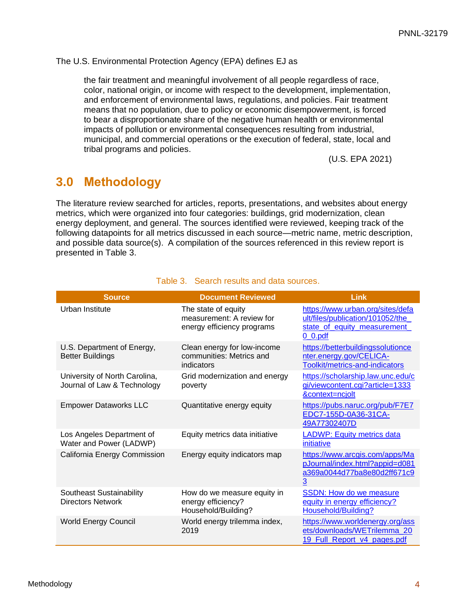#### The U.S. Environmental Protection Agency (EPA) defines EJ as

the fair treatment and meaningful involvement of all people regardless of race, color, national origin, or income with respect to the development, implementation, and enforcement of environmental laws, regulations, and policies. Fair treatment means that no population, due to policy or economic disempowerment, is forced to bear a disproportionate share of the negative human health or environmental impacts of pollution or environmental consequences resulting from industrial, municipal, and commercial operations or the execution of federal, state, local and tribal programs and policies.

(U.S. EPA 2021)

### <span id="page-10-0"></span>**3.0 Methodology**

The literature review searched for articles, reports, presentations, and websites about energy metrics, which were organized into four categories: buildings, grid modernization, clean energy deployment, and general. The sources identified were reviewed, keeping track of the following datapoints for all metrics discussed in each source—metric name, metric description, and possible data source(s). A compilation of the sources referenced in this review report is presented in [Table 3.](#page-10-1)

<span id="page-10-1"></span>

| <b>Source</b>                                                | <b>Document Reviewed</b>                                                       | <b>Link</b>                                                                                                        |
|--------------------------------------------------------------|--------------------------------------------------------------------------------|--------------------------------------------------------------------------------------------------------------------|
| Urban Institute                                              | The state of equity<br>measurement: A review for<br>energy efficiency programs | https://www.urban.org/sites/defa<br>ult/files/publication/101052/the<br>state_of_equity_measurement_<br>$0_0$ .pdf |
| U.S. Department of Energy,<br><b>Better Buildings</b>        | Clean energy for low-income<br>communities: Metrics and<br>indicators          | https://betterbuildingssolutionce<br>nter.energy.gov/CELICA-<br>Toolkit/metrics-and-indicators                     |
| University of North Carolina,<br>Journal of Law & Technology | Grid modernization and energy<br>poverty                                       | https://scholarship.law.unc.edu/c<br>gi/viewcontent.cgi?article=1333<br>&context=ncjolt                            |
| <b>Empower Dataworks LLC</b>                                 | Quantitative energy equity                                                     | https://pubs.naruc.org/pub/F7E7<br>EDC7-155D-0A36-31CA-<br>49A77302407D                                            |
| Los Angeles Department of<br>Water and Power (LADWP)         | Equity metrics data initiative                                                 | <b>LADWP: Equity metrics data</b><br>initiative                                                                    |
| California Energy Commission                                 | Energy equity indicators map                                                   | https://www.arcgis.com/apps/Ma<br>pJournal/index.html?appid=d081<br>a369a0044d77ba8e80d2ff671c9<br>3               |
| Southeast Sustainability<br><b>Directors Network</b>         | How do we measure equity in<br>energy efficiency?<br>Household/Building?       | <b>SSDN: How do we measure</b><br>equity in energy efficiency?<br>Household/Building?                              |
| <b>World Energy Council</b>                                  | World energy trilemma index,<br>2019                                           | https://www.worldenergy.org/ass<br>ets/downloads/WETrilemma 20<br>19 Full Report v4 pages.pdf                      |

#### Table 3. Search results and data sources.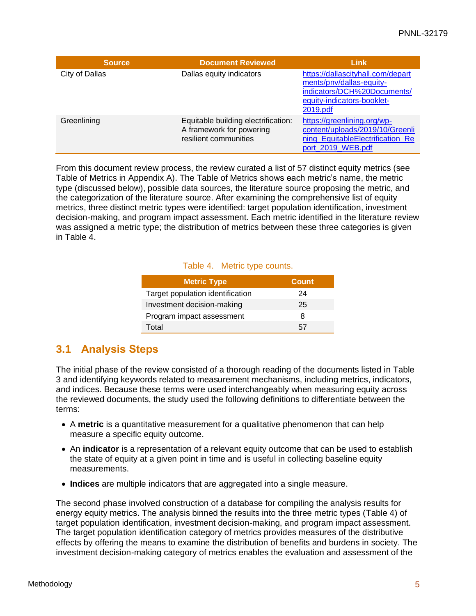| <b>Source</b>  | <b>Document Reviewed</b>                                                                 | <b>Link</b>                                                                                                                            |
|----------------|------------------------------------------------------------------------------------------|----------------------------------------------------------------------------------------------------------------------------------------|
| City of Dallas | Dallas equity indicators                                                                 | https://dallascityhall.com/depart<br>ments/pnv/dallas-equity-<br>indicators/DCH%20Documents/<br>equity-indicators-booklet-<br>2019.pdf |
| Greenlining    | Equitable building electrification:<br>A framework for powering<br>resilient communities | https://greenlining.org/wp-<br>content/uploads/2019/10/Greenli<br>ning EquitableElectrification Re<br>port 2019 WEB.pdf                |

<span id="page-11-1"></span>From this document review process, the review curated a list of 57 distinct equity metrics (see Table of Metrics in [Appendix A\)](#page-19-0). The Table of Metrics shows each metric's name, the metric type (discussed below), possible data sources, the literature source proposing the metric, and the categorization of the literature source. After examining the comprehensive list of equity metrics, three distinct metric types were identified: target population identification, investment decision-making, and program impact assessment. Each metric identified in the literature review was assigned a metric type; the distribution of metrics between these three categories is given in [Table 4.](#page-11-1)

#### Table 4. Metric type counts.

| <b>Metric Type</b>               | <b>Count</b> |
|----------------------------------|--------------|
| Target population identification | 24           |
| Investment decision-making       | 25           |
| Program impact assessment        | 8            |
| Total                            | $\sim$       |

### <span id="page-11-0"></span>**3.1 Analysis Steps**

The initial phase of the review consisted of a thorough reading of the documents listed in [Table](#page-10-1)  [3](#page-10-1) and identifying keywords related to measurement mechanisms, including metrics, indicators, and indices. Because these terms were used interchangeably when measuring equity across the reviewed documents, the study used the following definitions to differentiate between the terms:

- A **metric** is a quantitative measurement for a qualitative phenomenon that can help measure a specific equity outcome.
- An **indicator** is a representation of a relevant equity outcome that can be used to establish the state of equity at a given point in time and is useful in collecting baseline equity measurements.
- **Indices** are multiple indicators that are aggregated into a single measure.

The second phase involved construction of a database for compiling the analysis results for energy equity metrics. The analysis binned the results into the three metric types [\(Table 4\)](#page-11-1) of target population identification, investment decision-making, and program impact assessment. The target population identification category of metrics provides measures of the distributive effects by offering the means to examine the distribution of benefits and burdens in society. The investment decision-making category of metrics enables the evaluation and assessment of the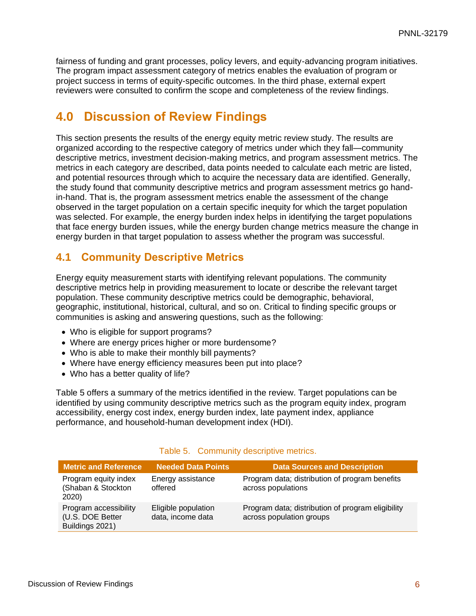fairness of funding and grant processes, policy levers, and equity-advancing program initiatives. The program impact assessment category of metrics enables the evaluation of program or project success in terms of equity-specific outcomes. In the third phase, external expert reviewers were consulted to confirm the scope and completeness of the review findings.

### <span id="page-12-0"></span>**4.0 Discussion of Review Findings**

This section presents the results of the energy equity metric review study. The results are organized according to the respective category of metrics under which they fall—community descriptive metrics, investment decision-making metrics, and program assessment metrics. The metrics in each category are described, data points needed to calculate each metric are listed, and potential resources through which to acquire the necessary data are identified. Generally, the study found that community descriptive metrics and program assessment metrics go handin-hand. That is, the program assessment metrics enable the assessment of the change observed in the target population on a certain specific inequity for which the target population was selected. For example, the energy burden index helps in identifying the target populations that face energy burden issues, while the energy burden change metrics measure the change in energy burden in that target population to assess whether the program was successful.

### <span id="page-12-1"></span>**4.1 Community Descriptive Metrics**

Energy equity measurement starts with identifying relevant populations. The community descriptive metrics help in providing measurement to locate or describe the relevant target population. These community descriptive metrics could be demographic, behavioral, geographic, institutional, historical, cultural, and so on. Critical to finding specific groups or communities is asking and answering questions, such as the following:

- Who is eligible for support programs?
- Where are energy prices higher or more burdensome?
- Who is able to make their monthly bill payments?
- Where have energy efficiency measures been put into place?
- Who has a better quality of life?

[Table 5](#page-12-2) offers a summary of the metrics identified in the review. Target populations can be identified by using community descriptive metrics such as the program equity index, program accessibility, energy cost index, energy burden index, late payment index, appliance performance, and household-human development index (HDI).

<span id="page-12-2"></span>

| <b>Metric and Reference</b>                                  | <b>Needed Data Points</b>                | <b>Data Sources and Description</b>                                           |
|--------------------------------------------------------------|------------------------------------------|-------------------------------------------------------------------------------|
| Program equity index<br>(Shaban & Stockton<br>2020)          | Energy assistance<br>offered             | Program data; distribution of program benefits<br>across populations          |
| Program accessibility<br>(U.S. DOE Better<br>Buildings 2021) | Eligible population<br>data, income data | Program data; distribution of program eligibility<br>across population groups |

#### Table 5. Community descriptive metrics.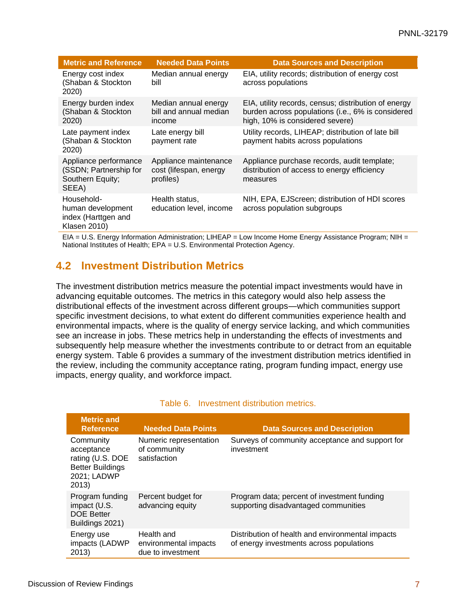| <b>Metric and Reference</b>                                                   | <b>Needed Data Points</b>                                    | <b>Data Sources and Description</b>                                                                                                          |
|-------------------------------------------------------------------------------|--------------------------------------------------------------|----------------------------------------------------------------------------------------------------------------------------------------------|
| Energy cost index<br>(Shaban & Stockton<br>2020)                              | Median annual energy<br>bill                                 | EIA, utility records; distribution of energy cost<br>across populations                                                                      |
| Energy burden index<br>(Shaban & Stockton<br>2020)                            | Median annual energy<br>bill and annual median<br>income     | EIA, utility records, census; distribution of energy<br>burden across populations (i.e., 6% is considered<br>high, 10% is considered severe) |
| Late payment index<br>(Shaban & Stockton<br>2020)                             | Late energy bill<br>payment rate                             | Utility records, LIHEAP; distribution of late bill<br>payment habits across populations                                                      |
| Appliance performance<br>(SSDN; Partnership for<br>Southern Equity;<br>SEEA)  | Appliance maintenance<br>cost (lifespan, energy<br>profiles) | Appliance purchase records, audit template;<br>distribution of access to energy efficiency<br>measures                                       |
| Household-<br>human development<br>index (Harttgen and<br><b>Klasen 2010)</b> | Health status,<br>education level, income                    | NIH, EPA, EJScreen; distribution of HDI scores<br>across population subgroups                                                                |

EIA = U.S. Energy Information Administration; LIHEAP = Low Income Home Energy Assistance Program; NIH = National Institutes of Health; EPA = U.S. Environmental Protection Agency.

### <span id="page-13-0"></span>**4.2 Investment Distribution Metrics**

The investment distribution metrics measure the potential impact investments would have in advancing equitable outcomes. The metrics in this category would also help assess the distributional effects of the investment across different groups—which communities support specific investment decisions, to what extent do different communities experience health and environmental impacts, where is the quality of energy service lacking, and which communities see an increase in jobs. These metrics help in understanding the effects of investments and subsequently help measure whether the investments contribute to or detract from an equitable energy system. [Table 6](#page-13-1) provides a summary of the investment distribution metrics identified in the review, including the community acceptance rating, program funding impact, energy use impacts, energy quality, and workforce impact.

<span id="page-13-1"></span>

| <b>Metric and</b><br><b>Reference</b>                                                          | <b>Needed Data Points</b>                                | <b>Data Sources and Description</b>                                                          |
|------------------------------------------------------------------------------------------------|----------------------------------------------------------|----------------------------------------------------------------------------------------------|
| Community<br>acceptance<br>rating (U.S. DOE<br><b>Better Buildings</b><br>2021; LADWP<br>2013) | Numeric representation<br>of community<br>satisfaction   | Surveys of community acceptance and support for<br>investment                                |
| Program funding<br>impact (U.S.<br><b>DOE Better</b><br>Buildings 2021)                        | Percent budget for<br>advancing equity                   | Program data; percent of investment funding<br>supporting disadvantaged communities          |
| Energy use<br>impacts (LADWP<br>2013)                                                          | Health and<br>environmental impacts<br>due to investment | Distribution of health and environmental impacts<br>of energy investments across populations |

#### Table 6. Investment distribution metrics.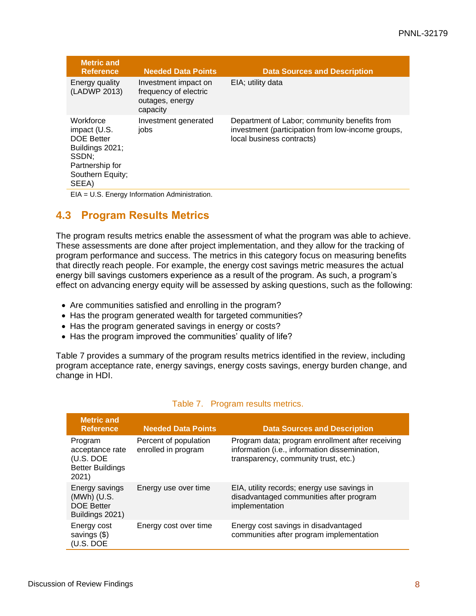| <b>Metric and</b><br><b>Reference</b>                                                                                      | <b>Needed Data Points</b>                                                    | <b>Data Sources and Description</b>                                                                                            |
|----------------------------------------------------------------------------------------------------------------------------|------------------------------------------------------------------------------|--------------------------------------------------------------------------------------------------------------------------------|
| Energy quality<br>(LADWP 2013)                                                                                             | Investment impact on<br>frequency of electric<br>outages, energy<br>capacity | EIA; utility data                                                                                                              |
| Workforce<br>impact (U.S.<br><b>DOE Better</b><br>Buildings 2021;<br>SSDN:<br>Partnership for<br>Southern Equity;<br>SEEA) | Investment generated<br>jobs                                                 | Department of Labor; community benefits from<br>investment (participation from low-income groups,<br>local business contracts) |
|                                                                                                                            | EIA = U.S. Energy Information Administration.                                |                                                                                                                                |

### <span id="page-14-0"></span>**4.3 Program Results Metrics**

The program results metrics enable the assessment of what the program was able to achieve. These assessments are done after project implementation, and they allow for the tracking of program performance and success. The metrics in this category focus on measuring benefits that directly reach people. For example, the energy cost savings metric measures the actual energy bill savings customers experience as a result of the program. As such, a program's effect on advancing energy equity will be assessed by asking questions, such as the following:

- Are communities satisfied and enrolling in the program?
- Has the program generated wealth for targeted communities?
- Has the program generated savings in energy or costs?
- Has the program improved the communities' quality of life?

<span id="page-14-1"></span>[Table 7](#page-14-1) provides a summary of the program results metrics identified in the review, including program acceptance rate, energy savings, energy costs savings, energy burden change, and change in HDI.

| <b>Metric and</b><br><b>Reference</b>                                       | <b>Needed Data Points</b>                    | <b>Data Sources and Description</b>                                                                                                       |
|-----------------------------------------------------------------------------|----------------------------------------------|-------------------------------------------------------------------------------------------------------------------------------------------|
| Program<br>acceptance rate<br>(U.S. DOE<br><b>Better Buildings</b><br>2021) | Percent of population<br>enrolled in program | Program data; program enrollment after receiving<br>information (i.e., information dissemination,<br>transparency, community trust, etc.) |
| Energy savings<br>(MWh) (U.S.<br><b>DOE Better</b><br>Buildings 2021)       | Energy use over time                         | EIA, utility records; energy use savings in<br>disadvantaged communities after program<br>implementation                                  |
| Energy cost<br>savings (\$)<br>(U.S. DOE                                    | Energy cost over time                        | Energy cost savings in disadvantaged<br>communities after program implementation                                                          |

#### Table 7. Program results metrics.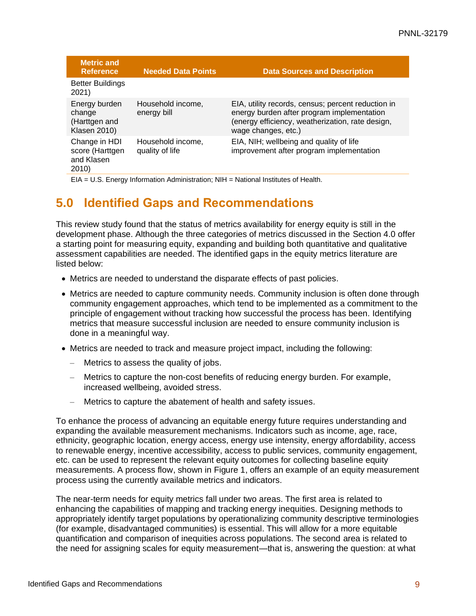| <b>Metric and</b><br><b>Reference</b>                           | <b>Needed Data Points</b>            | <b>Data Sources and Description</b>                                                                                                                                         |
|-----------------------------------------------------------------|--------------------------------------|-----------------------------------------------------------------------------------------------------------------------------------------------------------------------------|
| <b>Better Buildings</b><br>2021)                                |                                      |                                                                                                                                                                             |
| Energy burden<br>change<br>(Harttgen and<br><b>Klasen 2010)</b> | Household income,<br>energy bill     | EIA, utility records, census; percent reduction in<br>energy burden after program implementation<br>(energy efficiency, weatherization, rate design,<br>wage changes, etc.) |
| Change in HDI<br>score (Harttgen<br>and Klasen<br>2010)         | Household income,<br>quality of life | EIA, NIH; wellbeing and quality of life<br>improvement after program implementation                                                                                         |

EIA = U.S. Energy Information Administration; NIH = National Institutes of Health.

### <span id="page-15-0"></span>**5.0 Identified Gaps and Recommendations**

This review study found that the status of metrics availability for energy equity is still in the development phase. Although the three categories of metrics discussed in the Section [4.0](#page-12-0) offer a starting point for measuring equity, expanding and building both quantitative and qualitative assessment capabilities are needed. The identified gaps in the equity metrics literature are listed below:

- Metrics are needed to understand the disparate effects of past policies.
- Metrics are needed to capture community needs. Community inclusion is often done through community engagement approaches, which tend to be implemented as a commitment to the principle of engagement without tracking how successful the process has been. Identifying metrics that measure successful inclusion are needed to ensure community inclusion is done in a meaningful way.
- Metrics are needed to track and measure project impact, including the following:
	- Metrics to assess the quality of jobs.
	- Metrics to capture the non-cost benefits of reducing energy burden. For example, increased wellbeing, avoided stress.
	- Metrics to capture the abatement of health and safety issues.

To enhance the process of advancing an equitable energy future requires understanding and expanding the available measurement mechanisms. Indicators such as income, age, race, ethnicity, geographic location, energy access, energy use intensity, energy affordability, access to renewable energy, incentive accessibility, access to public services, community engagement, etc. can be used to represent the relevant equity outcomes for collecting baseline equity measurements. A process flow, shown in [Figure 1,](#page-16-0) offers an example of an equity measurement process using the currently available metrics and indicators.

The near-term needs for equity metrics fall under two areas. The first area is related to enhancing the capabilities of mapping and tracking energy inequities. Designing methods to appropriately identify target populations by operationalizing community descriptive terminologies (for example, disadvantaged communities) is essential. This will allow for a more equitable quantification and comparison of inequities across populations. The second area is related to the need for assigning scales for equity measurement—that is, answering the question: at what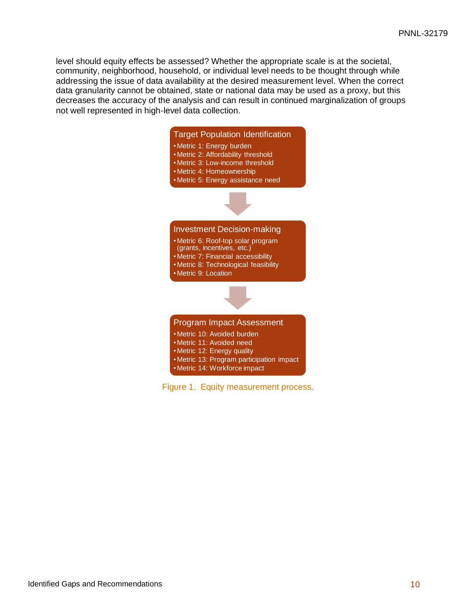level should equity effects be assessed? Whether the appropriate scale is at the societal, community, neighborhood, household, or individual level needs to be thought through while addressing the issue of data availability at the desired measurement level. When the correct data granularity cannot be obtained, state or national data may be used as a proxy, but this decreases the accuracy of the analysis and can result in continued marginalization of groups not well represented in high-level data collection.



<span id="page-16-0"></span>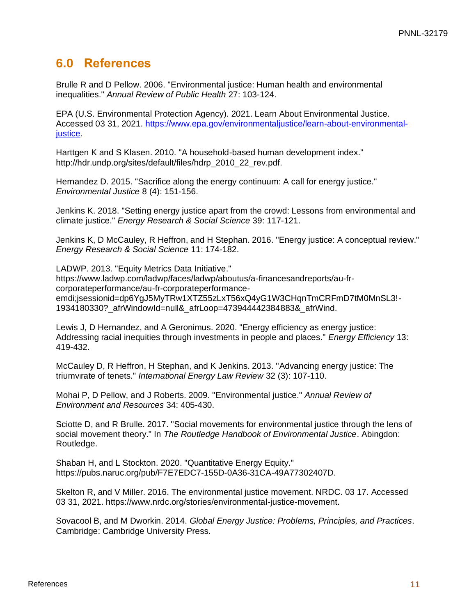### <span id="page-17-0"></span>**6.0 References**

Brulle R and D Pellow. 2006. "Environmental justice: Human health and environmental inequalities." *Annual Review of Public Health* 27: 103-124.

EPA (U.S. Environmental Protection Agency). 2021. Learn About Environmental Justice. Accessed 03 31, 2021. [https://www.epa.gov/environmentaljustice/learn-about-environmental](https://www.epa.gov/environmentaljustice/learn-about-environmental-justice)[justice.](https://www.epa.gov/environmentaljustice/learn-about-environmental-justice)

Harttgen K and S Klasen. 2010. "A household-based human development index." http://hdr.undp.org/sites/default/files/hdrp\_2010\_22\_rev.pdf.

Hernandez D. 2015. "Sacrifice along the energy continuum: A call for energy justice." *Environmental Justice* 8 (4): 151-156.

Jenkins K. 2018. "Setting energy justice apart from the crowd: Lessons from environmental and climate justice." *Energy Research & Social Science* 39: 117-121.

Jenkins K, D McCauley, R Heffron, and H Stephan. 2016. "Energy justice: A conceptual review." *Energy Research & Social Science* 11: 174-182.

LADWP. 2013. "Equity Metrics Data Initiative." https://www.ladwp.com/ladwp/faces/ladwp/aboutus/a-financesandreports/au-frcorporateperformance/au-fr-corporateperformanceemdi;jsessionid=dp6YgJ5MyTRw1XTZ55zLxT56xQ4yG1W3CHqnTmCRFmD7tM0MnSL3!- 1934180330?\_afrWindowId=null&\_afrLoop=473944442384883&\_afrWind.

Lewis J, D Hernandez, and A Geronimus. 2020. "Energy efficiency as energy justice: Addressing racial inequities through investments in people and places." *Energy Efficiency* 13: 419-432.

McCauley D, R Heffron, H Stephan, and K Jenkins. 2013. "Advancing energy justice: The triumvirate of tenets." *International Energy Law Review* 32 (3): 107-110.

Mohai P, D Pellow, and J Roberts. 2009. "Environmental justice." *Annual Review of Environment and Resources* 34: 405-430.

Sciotte D, and R Brulle. 2017. "Social movements for environmental justice through the lens of social movement theory." In *The Routledge Handbook of Environmental Justice*. Abingdon: Routledge.

Shaban H, and L Stockton. 2020. "Quantitative Energy Equity." https://pubs.naruc.org/pub/F7E7EDC7-155D-0A36-31CA-49A77302407D.

Skelton R, and V Miller. 2016. The environmental justice movement. NRDC. 03 17. Accessed 03 31, 2021. https://www.nrdc.org/stories/environmental-justice-movement.

Sovacool B, and M Dworkin. 2014. *Global Energy Justice: Problems, Principles, and Practices*. Cambridge: Cambridge University Press.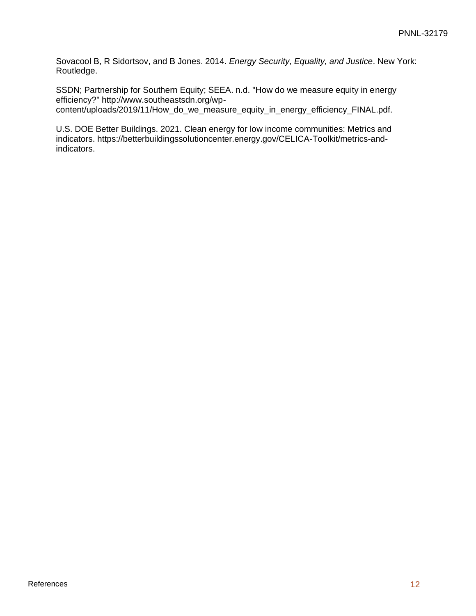Sovacool B, R Sidortsov, and B Jones. 2014. *Energy Security, Equality, and Justice*. New York: Routledge.

SSDN; Partnership for Southern Equity; SEEA. n.d. "How do we measure equity in energy efficiency?" http://www.southeastsdn.org/wpcontent/uploads/2019/11/How\_do\_we\_measure\_equity\_in\_energy\_efficiency\_FINAL.pdf.

U.S. DOE Better Buildings. 2021. Clean energy for low income communities: Metrics and indicators. https://betterbuildingssolutioncenter.energy.gov/CELICA-Toolkit/metrics-andindicators.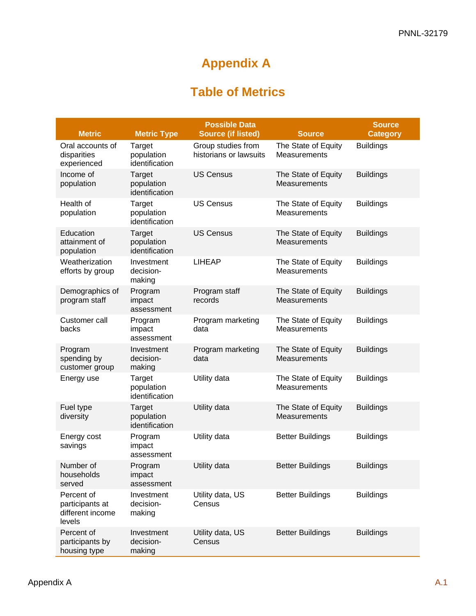# **Appendix A**

## **Table of Metrics**

<span id="page-19-0"></span>

| <b>Metric</b>                                               | <b>Metric Type</b>                     | <b>Possible Data</b><br><b>Source (if listed)</b> | <b>Source</b>                       | <b>Source</b><br><b>Category</b> |
|-------------------------------------------------------------|----------------------------------------|---------------------------------------------------|-------------------------------------|----------------------------------|
| Oral accounts of<br>disparities<br>experienced              | Target<br>population<br>identification | Group studies from<br>historians or lawsuits      | The State of Equity<br>Measurements | <b>Buildings</b>                 |
| Income of<br>population                                     | Target<br>population<br>identification | <b>US Census</b>                                  | The State of Equity<br>Measurements | <b>Buildings</b>                 |
| Health of<br>population                                     | Target<br>population<br>identification | <b>US Census</b>                                  | The State of Equity<br>Measurements | <b>Buildings</b>                 |
| Education<br>attainment of<br>population                    | Target<br>population<br>identification | <b>US Census</b>                                  | The State of Equity<br>Measurements | <b>Buildings</b>                 |
| Weatherization<br>efforts by group                          | Investment<br>decision-<br>making      | <b>LIHEAP</b>                                     | The State of Equity<br>Measurements | <b>Buildings</b>                 |
| Demographics of<br>program staff                            | Program<br>impact<br>assessment        | Program staff<br>records                          | The State of Equity<br>Measurements | <b>Buildings</b>                 |
| Customer call<br>backs                                      | Program<br>impact<br>assessment        | Program marketing<br>data                         | The State of Equity<br>Measurements | <b>Buildings</b>                 |
| Program<br>spending by<br>customer group                    | Investment<br>decision-<br>making      | Program marketing<br>data                         | The State of Equity<br>Measurements | <b>Buildings</b>                 |
| Energy use                                                  | Target<br>population<br>identification | Utility data                                      | The State of Equity<br>Measurements | <b>Buildings</b>                 |
| Fuel type<br>diversity                                      | Target<br>population<br>identification | Utility data                                      | The State of Equity<br>Measurements | <b>Buildings</b>                 |
| Energy cost<br>savings                                      | Program<br>impact<br>assessment        | Utility data                                      | <b>Better Buildings</b>             | <b>Buildings</b>                 |
| Number of<br>households<br>served                           | Program<br>impact<br>assessment        | Utility data                                      | <b>Better Buildings</b>             | <b>Buildings</b>                 |
| Percent of<br>participants at<br>different income<br>levels | Investment<br>decision-<br>making      | Utility data, US<br>Census                        | <b>Better Buildings</b>             | <b>Buildings</b>                 |
| Percent of<br>participants by<br>housing type               | Investment<br>decision-<br>making      | Utility data, US<br>Census                        | <b>Better Buildings</b>             | <b>Buildings</b>                 |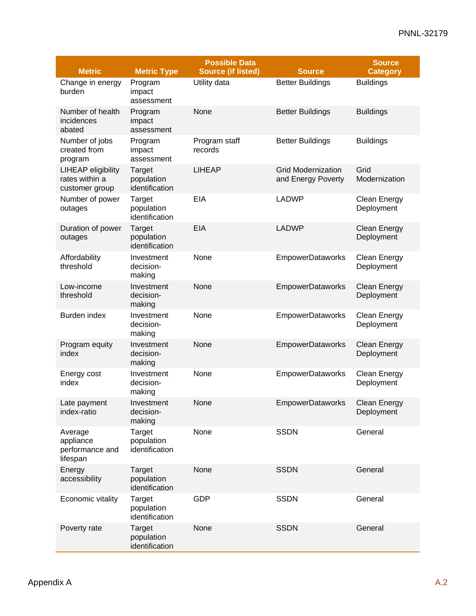|                                                               |                                        | <b>Possible Data</b>      |                                                 | <b>Source</b>                     |
|---------------------------------------------------------------|----------------------------------------|---------------------------|-------------------------------------------------|-----------------------------------|
| <b>Metric</b>                                                 | <b>Metric Type</b>                     | <b>Source (if listed)</b> | <b>Source</b>                                   | <b>Category</b>                   |
| Change in energy<br>burden                                    | Program<br>impact<br>assessment        | Utility data              | <b>Better Buildings</b>                         | <b>Buildings</b>                  |
| Number of health<br>incidences<br>abated                      | Program<br>impact<br>assessment        | None                      | <b>Better Buildings</b>                         | <b>Buildings</b>                  |
| Number of jobs<br>created from<br>program                     | Program<br>impact<br>assessment        | Program staff<br>records  | <b>Better Buildings</b>                         | <b>Buildings</b>                  |
| <b>LIHEAP eligibility</b><br>rates within a<br>customer group | Target<br>population<br>identification | <b>LIHEAP</b>             | <b>Grid Modernization</b><br>and Energy Poverty | Grid<br>Modernization             |
| Number of power<br>outages                                    | Target<br>population<br>identification | <b>EIA</b>                | <b>LADWP</b>                                    | <b>Clean Energy</b><br>Deployment |
| Duration of power<br>outages                                  | Target<br>population<br>identification | EIA                       | <b>LADWP</b>                                    | <b>Clean Energy</b><br>Deployment |
| Affordability<br>threshold                                    | Investment<br>decision-<br>making      | None                      | <b>EmpowerDataworks</b>                         | Clean Energy<br>Deployment        |
| Low-income<br>threshold                                       | Investment<br>decision-<br>making      | None                      | <b>EmpowerDataworks</b>                         | <b>Clean Energy</b><br>Deployment |
| Burden index                                                  | Investment<br>decision-<br>making      | None                      | EmpowerDataworks                                | Clean Energy<br>Deployment        |
| Program equity<br>index                                       | Investment<br>decision-<br>making      | None                      | <b>EmpowerDataworks</b>                         | <b>Clean Energy</b><br>Deployment |
| Energy cost<br>index                                          | Investment<br>decision-<br>making      | None                      | <b>EmpowerDataworks</b>                         | Clean Energy<br>Deployment        |
| Late payment<br>index-ratio                                   | Investment<br>decision-<br>making      | None                      | <b>EmpowerDataworks</b>                         | <b>Clean Energy</b><br>Deployment |
| Average<br>appliance<br>performance and<br>lifespan           | Target<br>population<br>identification | None                      | <b>SSDN</b>                                     | General                           |
| Energy<br>accessibility                                       | Target<br>population<br>identification | None                      | <b>SSDN</b>                                     | General                           |
| Economic vitality                                             | Target<br>population<br>identification | <b>GDP</b>                | <b>SSDN</b>                                     | General                           |
| Poverty rate                                                  | Target<br>population<br>identification | None                      | <b>SSDN</b>                                     | General                           |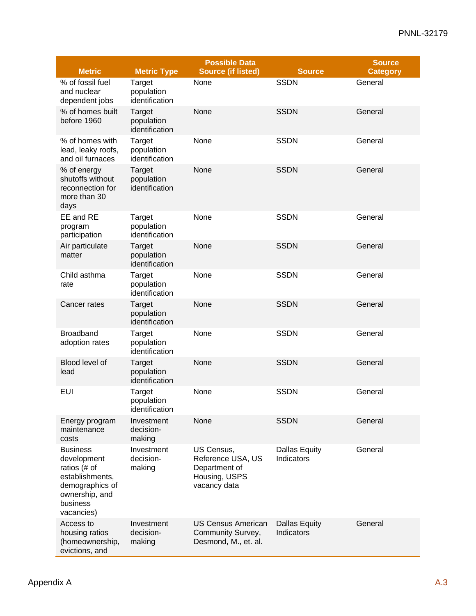|                                                                                                                                  |                                        | <b>Possible Data</b>                                                              |                                    | <b>Source</b>   |
|----------------------------------------------------------------------------------------------------------------------------------|----------------------------------------|-----------------------------------------------------------------------------------|------------------------------------|-----------------|
| <b>Metric</b>                                                                                                                    | <b>Metric Type</b>                     | <b>Source (if listed)</b>                                                         | <b>Source</b>                      | <b>Category</b> |
| % of fossil fuel<br>and nuclear<br>dependent jobs                                                                                | Target<br>population<br>identification | None                                                                              | <b>SSDN</b>                        | General         |
| % of homes built<br>before 1960                                                                                                  | Target<br>population<br>identification | None                                                                              | <b>SSDN</b>                        | General         |
| % of homes with<br>lead, leaky roofs,<br>and oil furnaces                                                                        | Target<br>population<br>identification | None                                                                              | <b>SSDN</b>                        | General         |
| % of energy<br>shutoffs without<br>reconnection for<br>more than 30<br>days                                                      | Target<br>population<br>identification | None                                                                              | <b>SSDN</b>                        | General         |
| EE and RE<br>program<br>participation                                                                                            | Target<br>population<br>identification | None                                                                              | <b>SSDN</b>                        | General         |
| Air particulate<br>matter                                                                                                        | Target<br>population<br>identification | None                                                                              | <b>SSDN</b>                        | General         |
| Child asthma<br>rate                                                                                                             | Target<br>population<br>identification | None                                                                              | <b>SSDN</b>                        | General         |
| Cancer rates                                                                                                                     | Target<br>population<br>identification | None                                                                              | <b>SSDN</b>                        | General         |
| <b>Broadband</b><br>adoption rates                                                                                               | Target<br>population<br>identification | None                                                                              | <b>SSDN</b>                        | General         |
| Blood level of<br>lead                                                                                                           | Target<br>population<br>identification | None                                                                              | <b>SSDN</b>                        | General         |
| <b>EUI</b>                                                                                                                       | Target<br>population<br>identification | None                                                                              | <b>SSDN</b>                        | General         |
| Energy program<br>maintenance<br>costs                                                                                           | Investment<br>decision-<br>making      | None                                                                              | <b>SSDN</b>                        | General         |
| <b>Business</b><br>development<br>ratios (# of<br>establishments,<br>demographics of<br>ownership, and<br>business<br>vacancies) | Investment<br>decision-<br>making      | US Census,<br>Reference USA, US<br>Department of<br>Housing, USPS<br>vacancy data | <b>Dallas Equity</b><br>Indicators | General         |
| Access to<br>housing ratios<br>(homeownership,<br>evictions, and                                                                 | Investment<br>decision-<br>making      | <b>US Census American</b><br>Community Survey,<br>Desmond, M., et. al.            | <b>Dallas Equity</b><br>Indicators | General         |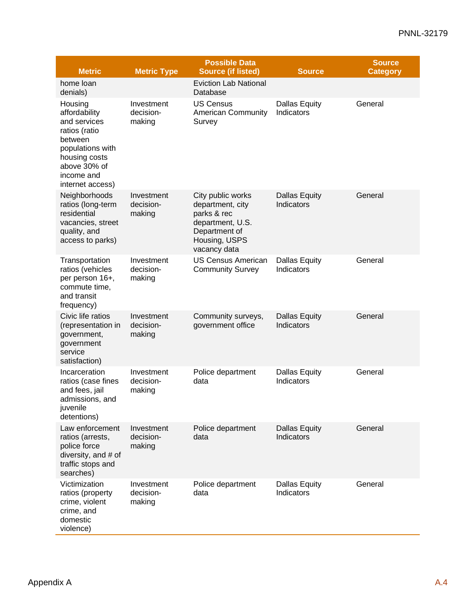### PNNL-32179

|                                                                                                                                                             |                                   | <b>Possible Data</b>                                                                                                       |                                    | <b>Source</b>   |
|-------------------------------------------------------------------------------------------------------------------------------------------------------------|-----------------------------------|----------------------------------------------------------------------------------------------------------------------------|------------------------------------|-----------------|
| <b>Metric</b>                                                                                                                                               | <b>Metric Type</b>                | <b>Source (if listed)</b>                                                                                                  | <b>Source</b>                      | <b>Category</b> |
| home loan<br>denials)                                                                                                                                       |                                   | <b>Eviction Lab National</b><br>Database                                                                                   |                                    |                 |
| Housing<br>affordability<br>and services<br>ratios (ratio<br>between<br>populations with<br>housing costs<br>above 30% of<br>income and<br>internet access) | Investment<br>decision-<br>making | <b>US Census</b><br><b>American Community</b><br>Survey                                                                    | <b>Dallas Equity</b><br>Indicators | General         |
| Neighborhoods<br>ratios (long-term<br>residential<br>vacancies, street<br>quality, and<br>access to parks)                                                  | Investment<br>decision-<br>making | City public works<br>department, city<br>parks & rec<br>department, U.S.<br>Department of<br>Housing, USPS<br>vacancy data | <b>Dallas Equity</b><br>Indicators | General         |
| Transportation<br>ratios (vehicles<br>per person 16+,<br>commute time,<br>and transit<br>frequency)                                                         | Investment<br>decision-<br>making | <b>US Census American</b><br><b>Community Survey</b>                                                                       | <b>Dallas Equity</b><br>Indicators | General         |
| Civic life ratios<br>(representation in<br>government,<br>government<br>service<br>satisfaction)                                                            | Investment<br>decision-<br>making | Community surveys,<br>government office                                                                                    | <b>Dallas Equity</b><br>Indicators | General         |
| Incarceration<br>ratios (case fines<br>and fees, jail<br>admissions, and<br>juvenile<br>detentions)                                                         | Investment<br>decision-<br>making | Police department<br>data                                                                                                  | <b>Dallas Equity</b><br>Indicators | General         |
| Law enforcement<br>ratios (arrests,<br>police force<br>diversity, and # of<br>traffic stops and<br>searches)                                                | Investment<br>decision-<br>making | Police department<br>data                                                                                                  | <b>Dallas Equity</b><br>Indicators | General         |
| Victimization<br>ratios (property<br>crime, violent<br>crime, and<br>domestic<br>violence)                                                                  | Investment<br>decision-<br>making | Police department<br>data                                                                                                  | <b>Dallas Equity</b><br>Indicators | General         |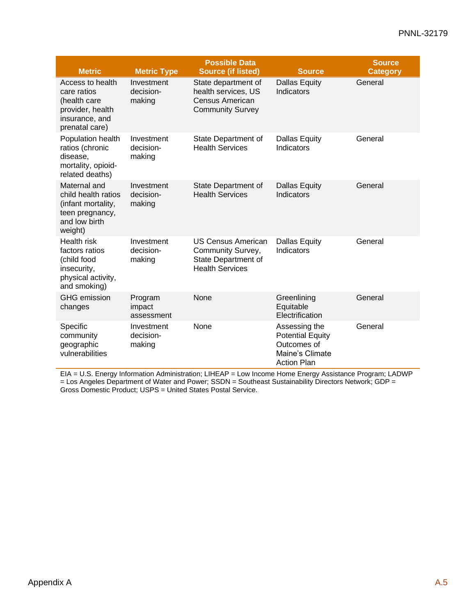| <b>Metric</b>                                                                                            | <b>Metric Type</b>                | <b>Possible Data</b><br><b>Source (if listed)</b>                                               | <b>Source</b>                                                                                    | <b>Source</b><br><b>Category</b> |
|----------------------------------------------------------------------------------------------------------|-----------------------------------|-------------------------------------------------------------------------------------------------|--------------------------------------------------------------------------------------------------|----------------------------------|
| Access to health<br>care ratios<br>(health care<br>provider, health<br>insurance, and<br>prenatal care)  | Investment<br>decision-<br>making | State department of<br>health services, US<br>Census American<br><b>Community Survey</b>        | <b>Dallas Equity</b><br>Indicators                                                               | General                          |
| Population health<br>ratios (chronic<br>disease,<br>mortality, opioid-<br>related deaths)                | Investment<br>decision-<br>making | State Department of<br><b>Health Services</b>                                                   | <b>Dallas Equity</b><br>Indicators                                                               | General                          |
| Maternal and<br>child health ratios<br>(infant mortality,<br>teen pregnancy,<br>and low birth<br>weight) | Investment<br>decision-<br>making | State Department of<br><b>Health Services</b>                                                   | <b>Dallas Equity</b><br>Indicators                                                               | General                          |
| <b>Health risk</b><br>factors ratios<br>(child food<br>insecurity,<br>physical activity,<br>and smoking) | Investment<br>decision-<br>making | <b>US Census American</b><br>Community Survey,<br>State Department of<br><b>Health Services</b> | <b>Dallas Equity</b><br>Indicators                                                               | General                          |
| <b>GHG</b> emission<br>changes                                                                           | Program<br>impact<br>assessment   | None                                                                                            | Greenlining<br>Equitable<br>Electrification                                                      | General                          |
| Specific<br>community<br>geographic<br>vulnerabilities                                                   | Investment<br>decision-<br>making | None                                                                                            | Assessing the<br><b>Potential Equity</b><br>Outcomes of<br>Maine's Climate<br><b>Action Plan</b> | General                          |

EIA = U.S. Energy Information Administration; LIHEAP = Low Income Home Energy Assistance Program; LADWP = Los Angeles Department of Water and Power; SSDN = Southeast Sustainability Directors Network; GDP = Gross Domestic Product; USPS = United States Postal Service.